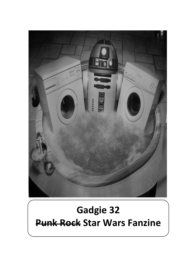

# **Gadgie 32 Punk Rock Star Wars Fanzine**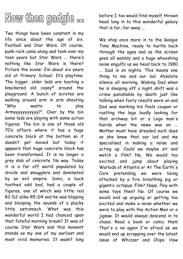

Two things have been constant in my life since about the age of six. Football and Star Wars. Of course, punk rock came along and took over my teen years but Star Wars ... there's nothing like Star Wars is there? Picture the scene: I'm about six years old at Primary School. It's playtime. The bigger, older lads are booting a knackered old casey\* around the playground. A bunch of scrotes are walking around arm in arm shouting "Who wants to play Armyyyyyyyyyyy?". Over by the bin some lads are playing with some action figures. The bin is one of those old 70's affairs where it has a huge concrete block at the bottom so it doesn't get moved but today it appears that huge concrete block has been transformed. It is no longer a grey slab of concrete. No way. Today it is a far off world populated by droids and smugglers and dominated by an evil empire. Sonic, a buck toothed odd bod, had a couple of figures, one of which was little red R2-D2 alike R5-D4 and he was blipping and blooping the sounds of a plucky little astromech. What was this wonderful world I had chanced upon that fateful morning break? It was of course Star Wars and this moment stands as my one of my earliest and most vivid memories. It wasn't long

before I too would find myself thrown head long in to this wonderful galaxy that is far, far away ...

We step once more in to the Gadgie Time Machine, ready to hurtle back through the ages and as the screen goes all wobbly and a huge whooshing noise engulfs us we head back to 1980 ... Dad is on nights. This means one thing to me and our lad. Absolute silence all morning. Waking Dad when he is sleeping off a night shift was a crime punishable by death just like talking when footy results were on and Dad was marking his Pools coupon or rustling the lego loudly looking for that archway bit or a Lego man's hairdo when the news was on ... Mother must have dreaded such days as she knew that our lad and me specialised in making a noise and acting up. Could we maybe sit and watch a film? No. We would too excited and jump about playing Warlods of Atlantis or At The Earth's Core pretending we were being attacked by a fire breathing pig or gigantic octopus. Film? Nope. Play with some toys then? No. Of course we would end up arguing or getting too excited and make a noise whether we were to play with the Action Men or a jigsaw. It would always descend in to chaos. Read a book or comic then! That's a no again I'm afraid as we would end up scrapping over the latest issue of Whizzer and Chips. How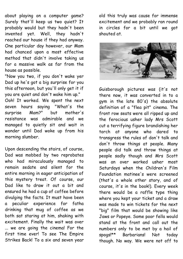about playing on a computer game? Surely that'll keep us two quiet? It probably would but they hadn't been invented yet. Well, they hadn't reached our house if they had anyway. One particular day however, our Mam had chanced upon a most effective method that didn't involve taking us for a massive walk as far from the house as possible.

"Now you two, if you don't wake yer Dad up he's got a big surprise for you this afternoon, but you'll only get it if you are quiet and don't wake him up."

Ooh! It worked. We spent the next seven hours saying "What's the surprise Mam?" but mother's resistance was admirable and we managed to quietly sit and wait in wonder until Dad woke up from his morning slumber.

Upon descending the stairs, of course, Dad was mobbed by two reprobates who had miraculously managed to remain sedate and silent for the entire morning in eager anticipation of this mystery treat. Of course, our Dad like to draw it out a bit and ensured he had a cup of coffee before divulging the facts. It must have been a peculiar experience for fatha drinking that mug of coffee as we both sat staring at him, shaking with excitement. Finally the wait was over ... we are going the cinema! For the first time ever! To see The Empire Strikes Back! To a six and seven year

old this truly was cause for immense excitement and we probably ran round in circles for a bit until we got shouted at.



Guisborough pictures was (it's not there now, it was converted in to a gym in the late 80's) the absolute definition of a "flea pit" cinema. The front row seats were all ripped up and the ferocious usher lady Mrs Scott cut a terrifying figure brandishing her torch at anyone who dared to transgress the rules of don't talk and don't throw things at people. Many people did talk and throw things at people sadly though and Mrs Scott was an over worked usher most Saturdays when the Children's Film Foundation matinee's were screened (that's a whole other story, and of course, it's in the book!). Every week there would be a raffle type thing where you kept your ticket and a draw was made to win tickets for the next "big" film that would be showing like Jaws or Popeye. Some poor fella would stand at the front and call out the numbers only to be met by a hail of spogs!\*\* Barbarians! Not today though. No way. We were not off to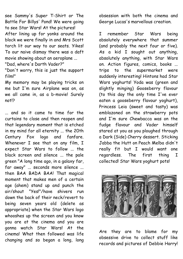see Sammy's Super T-Shirt or The Battle For Billys' Pond! We were going to see Star Wars! At the pictures! After lining up for yonks around the block we were finally in and Mrs Scott torch lit our way to our seats. Yikes! To our naive dismay there was a daft movie showing about an aeroplane ... "Dad, where's Darth Vader?"

"Don't worry, this is just the support film!"

My memory may be playing tricks on me but I'm sure Airplane was on, as we all came in, as a b-movie! Surely not<sup>12</sup>

... and so it came to time for the curtains to close and then reopen and that legendary moment that is etched in my mind for all eternity ... the 20th Century Fox logo and fanfare. Whenever I see that on any film, I expect Star Wars to follow ... the black screen and silence ... the pale green "A long time ago, in a galaxy far, far away" ... seconds more silence ... then BAA BADA BAA! That magical moment that makes men of a certain age (ahem) stand up and punch the air/shout "Yes!"/have shivers run down the back of their neck/revert to being seven years old (delete as appropriate) when the Star Wars logo whooshes up the screen and you know you are at the cinema and you are gonna watch Star Wars! At the cinema! What then followed was life changing and so began a long, long

obsession with both the cinema and George Lucas's marvellous creation.

I remember Star Wars being absolutely everywhere that summer (and probably the next four or five). As a kid I sought out anything, absolutely anything, with Star Wars on. Action figures, comics, books ... trips to the supermarket were suddenly interesting! Hintons had Star Wars yoghurts! Yoda was (green and slightly minging) Gooseberry flavour (to this day the only time I've ever eaten a gooseberry flavour yoghurt), Princess Leia (sweet and tasty) was emblazoned on the strawberry pots and I'm sure Chewbacca was on the fudge flavour and Vader himself stared at you as you ploughed through a Dark (Side) Cherry dessert. Sticking Jabba the Hutt on Peach Melba didn't really fit but I would want one regardless. The first thing I collected! Star Wars yoghurt pots!



Are they are to blame for my obsessive drive to collect stuff like records and pictures of Debbie Harry!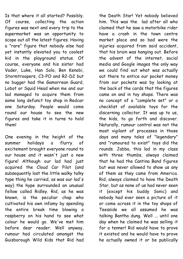Is that where it all started? Possibly. Of course, collecting the action figures was next and every trip to the supermarket was an opportunity to scope out all the latest figures. Having a "rare" figure that nobody else had yet instantly elevated you to coolest kid in the playground status. Of course, everyone and his sister had Vader, Luke, Han Solo, Ben Kenobi, Stormtroopers, C3-PO and R2-D2 but no bugger had the Gamorrean Guard, Lobot or Squid Head when me and our lad managed to acquire them from some long defunct toy shop in Redcar one Saturday. People would come round our house to see the new figures and take it in turns to hold them!

One evening in the height of the summer holidays a flurry of excitement brought everyone round to our house and it wasn't just a new figure! Although our lad had just acquired the Cloud Car Pilot (and subsequently lost the little walky talky type thing he carried, as was our lad's way) the hype surrounded an unusual fellow called Ridley. Rid, as he was known, is the peculiar chap who cultivated his own infamy by spending the entire break time blowing a raspberry on his hand to see what colour he would go. We've met him before dear reader. Well anyway, rumour had circulated amongst the Guisborough Wild Kids that Rid had

the Death Star! Yet nobody believed him. This was the lad after all who claimed that he saw a motorbike rider have a crash in the town centre market place and so bad were the injuries acquired from said accident, that his brain was hanging out. Before the advent of the internet, social media and Google images the only way we could find out what was actually out there to entice our pocket money from our pockets was by looking at the back of the cards that the figures came on and in toy shops. There was no concept of a "complete set" or a checklist of available toys for the discerning collector. It was up to us, the kids, to go forth and discover. Naturally, rumour control was not the most vigilant of processes in those days and many tales of "legendary" and "rumoured to exist" toys did the rounds. Jabba, this lad in my class with three thumbs, always claimed that he had the Cantina Band figures but was never allowed to show us any of them as they came from America. Rid, always claimed to have the Death Star, but as none of us had never seen it (except his buddy Sonic) and nobody had ever seen a picture of it or come across it in the toy shops of Teesside we all assumed he was talking Bantha dung. Well ... until one day when he claimed he was selling it for a tenner! Rid would have to prove it existed and he would have to prove he actually owned it or be publically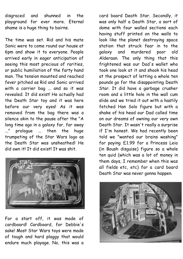disgraced and shunned in the playground for ever more. Eternal shame is a huge thing to bairns.

The time was set. Rid and his mate Sonic were to come round our house at 6pm and show it to everyone. People arrived early in eager anticipation of seeing this most precious of rarities, or public humiliation of the farty hand man. The tension mounted and reached fever pitched as Rid and Sonic arrived with a carrier bag ... and so it was revealed. It did exist! He actually had the Death Star toy and it was here before our very eyes! As it was removed from the bag there was a silence akin to the pause after the "A long time ago in a galaxy far, far away ..." prologue ... then the huge trumpeting of the Star Wars logo as the Death Star was unsheathed! He did own it! It did exist! It was shit.



For a start off, it was made of cardboard! Cardboard, for Debbie's sake! Most Star Wars toys were made of tough and hard plaggy that would endure much playage. No, this was a

card board Death Star. Secondly, it was only half a Death Star, a sort of dome with four walled sections each having stuff printed on the walls to look like the planet destroying space station that struck fear in to the galaxy and murdered poor old Alderaan. The only thing that this frightened was our Dad's wallet who took one look at it and shook his head at the prospect of letting a whole ten pounds go for the disappointing Death Star. It did have a garbage crusher room and a little hole in the wall cum slide and we tried it out with a hastily fetched Han Solo figure but with a shake of his head our Dad called time on our dreams of owning our very own Death Star. It wasn't really a surprise if I'm honest. We had recently been told we "wanted our brains washing" for paying £1.99 for a Princess Leia (in Boush disguise) figure so a whole ten quid (which was a lot of money in them days, I remember when this was all fields etc, etc) for a card board Death Star was never gonna happen.

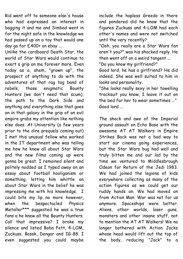Rid went off to someone else's house who had expressed an interest in bagging it and me and Simbad went in for the night safe in the knowledge we had passed up on a toy that would one day go for £400+ on ebay ...

Unlike the cardboard Death Star, the world of Star Wars would continue to exert a grip on me forever more. Even today as a, ahem, "grown up", the prospect of anything to do with the adventures of that rag tag band of rebels, those enigmatic Bounty Hunters (we don't need that scum), the path to the Dark Side and anything and everything else that goes on in that galaxy in the grip of an evil empire grabs my attention like nothing else does. At University (a few years prior to the dire prequels coming out) I met this unusual fellow who worked in the IT department who was telling me how he knew all about Star Wars and the new films coming up were gonna be great. I remained silent and politely nodded as I typed away on an essay about football hooliganism or something, letting him whittle on about Star Wars in the belief he was impressing me with his knowledge. I could bite my lip no more however, when the bespectacled Physics Metaller\*\*\* suggested he was a true fans a he knew all the Bounty Hunters. Call that impressive? I broke my silence and listed Boba Fett, 4-LOM, Zuckuss, Bossk, Dengar and IG-88. I even suggested you could maybe

include the hapless Greedo in there and pondered did he know that the figures Zuckuss and 4-LOM had each other's names and were not switched until the very recently?

"Ooh, you really are a Star Wars fan aren't you?" was his shocked reply. He then went off on a weird tangent ... "Do you know my girlfriend?"

Good lord, he has a girlfriend? He did indeed. She was well suited to him in looks and personality.

"She looks really sexy in her towelling tracksuit you know, I leave it out on the bed for her to wear sometimes ..." Good lord ...

The shock and awe of the Imperial ground assault on Echo Base with the awesome AT AT Walkers in Empire Strikes Back was not a bad way to start our cinema going experiences, but the Star Wars bug had well and truly bitten me and our lad by the time we ventured to Middlesbrough Odeon for Return of the Jedi 1983. We had joined the legions of kids everywhere collecting as many of the action figures as we could get our ruddy hands on. We had moved on from Action Man. War was not for us anymore. Spaceships were better. Aliens, other worlds, laser guns, monsters and other insane stuff, not to mention the AT AT Walkers! We no longer bothered with Action Jacks whose head would lift out the top of the body, reducing "Jack" to a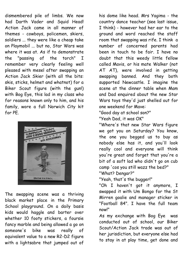dismembered pile of limbs. We now had Darth Vader and Squid Head! Action Jack came in all manner of themes - cowboys, policemen, skiers, soldiers ... they were like a cheap take on Playmobil ... but no, Star Wars was where it was at. As if to demonstrate the "passing of the torch" I remember very clearly feeling well pleased with mesel after swapping an Action Jack Skier (with all the bits: skis, sticks, helmet and whatnot) for a Biker Scout figure (with the gun!) with Bog Eye, this lad in my class who for reasons known only to him, and his family, wore a full Norwich City kit for PE.



The swapping scene was a thriving black market place in the Primary School playground. On a daily basis kids would haggle and barter over whether 10 footy stickers, a foursie fancy marble and being allowed a go on someone's bike was really of equivalent value to a new R2-D2 figure with a lightsabre that jumped out of

his dome like head. Mrs Yagima - the country dance teacher (see last issue, I think) - however had her ear to the ground and word reached the staff room that swapping was rife. I think a number of concerned parents had been in touch to be fair. I have no doubt that this weedy little fellow called Mavis, or his mate Walker (not AT AT), were involved in getting swapping banned. And they both supported Newcastle. I imagine the scene at the dinner table when Mam and Dad enquired about the new Star Wars toys they'd just shelled out for one weekend for Mave:

"Good day at school son?"

"Yeah Dad, it was OK"

"Where's that new Star Wars figure we got you on Saturday? You know, the one you begged us to buy as nobody else has it, and you'll look really cool and everyone will think you're great and forget that you're a bit of a soft lad who didn't go on cub camp 'cos you still wazz the bed?" "What? Dengar?"

"Yeah, that's the bugger!"

"Oh I haven't got it anymore, I swapped it with Um Bongo for the St Mirren goalie and manager sticker in "Football 84". I have the full team now!"

As my exchange with Bog Eye was conducted out of school, our Biker Scout/Action Jack trade was out of her jurisdiction, but everyone else had to stay in at play time, get done and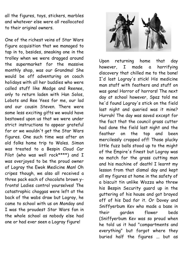all the figures, toys, stickers, marbles and whatever else were all reallocated to their original owners.

One of the richest veins of Star Wars figure acquisition that we managed to tap in to, besides, sneaking one in the trolley when we were dragged around the supermarket for the massive monthly shop, was our Grandma! She would be off adventuring on coach holidays with all her buddies who were called stuff like Madge and Reenee, only to return laden with Han Solos, Lobots and Ree Yees for me, our lad and our cousin Steven. There were some less exciting gifts we would have bestowed upon us that we were under strict instructions to appear grateful for or we wouldn't get the Star Wars figures. One such time was after an old folks home trip to Wales. Simon was treated to a Bespin Cloud Car Pilot (who was well rock\*\*\*\*) and I was overjoyed to be the proud owner of Logray the Ewok Medicine Man! Oh cripes though, we also all received a three pack each of chocolate brown yfronts! Ladies control yourselves! The catastrophic choggas were left at the back of the wabs draw but Logray, he came to school with us on Monday and I was the proudest Star Wars fan in the whole school as nobody else had one or had ever seen a Logray figure!



Upon returning home that day however, I made a horrifying discovery that chilled me to the bone! I'd lost Logray's stick! His medicine man staff with feathers and stuff on was gone! Horror of horrors! The next day at school however, Spaz told me he'd found Logray's stick on the field last night and queried was it mine? Hurrah! The day was saved except for the fact that the council grass cutter had done the field last night and the feather on the top and been mercilessly cropped off! Those plucky little fuzz balls stood up to the might of the Empire's finest but Logray was no match for the grass cutting man and his machine of death! I learnt my lesson from that dismal day and kept all my figures at home in the safety of a biscuit tin unlike Wozza who threw his Bespin Security guard up in the guttering of his house and got brayed off of his Dad for it. Or Dovey and Sniffyerbum Kev who made a base in their garden flower beds (Sniffyerbum Kev was so proud when he told us it had "compartments and everything" but forgot where they buried half the figures ... but as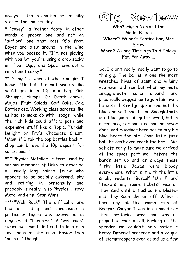always ... that's another set of silly stories for another day ...

\* "casey": a leather footy, in other words a proper one and not an "airflow" one that cost 99p from Boyes and blew around in the wind when you booted it. "I'm not playing with you lot, you're using a crap sacky air flow. Oggy and Spaz have got a rare beaut casey."

\*\* "spogs": a word of whose origins I know little but it meant sweets like you'd get in a 10p mix bag. Pink Shrimps, Flumps, Dr Death chews, Mojos, Fruit Salads, Golf Balls, Cola Bottles etc. Working class scrotes like us had to make do with "spogs" while the rich kids could afford posh and expensive stuff like a Topic, Turkish Delight or Fry's Chocolate Cream. "Mam, if I tek the pop bottles back t' shop can I 'ave the 10p deposit for some spogs?"

\*\*\*"Physics Metaller" a term used by various members of Urko to describe a, usually long haired fellow who appears to be socially awkward, shy and retiring in personality and probably is really in to Physics, Heavy Metal and erm, Star Wars.

\*\*\*\*"Well Rock" The difficulty one had in finding and purchasing a particular figure was expressed in degrees of "hardness". A "well rock" figure was most difficult to locate in toy shops of the area. Easier than "nails as" though.



**Who?** Figrin D'an and the Model Nodes **Where?** Wuher's Cantina Bar, Mos Eisley

**When?** A Long Time Ago In A Galaxy Far, Far Away ...

So, I didn't really, really want to go to this gig. The bar is in one the most wretched hives of scum and villainy you ever did see but when my mate Snaggletooth came around and practically begged me to join him, well, he was in his red jump suit and not the blue one so I had to go. Snaggletooth in a blue jump suit gets served, but in a red one, for some reason he never does, and muggings here has to buy his blue beers for him. Poor little fuzz ball, he can't even reach the bar ... We set off early to make sure we arrived at the space port well before the bands set up and as always those filthy little Jawas were bloody everywhere. What is it with the little smelly rodents "Bosca!" "Utini!" and "Tickets, any spare tickets!" was all they said until I flashed me blaster and they soon cleared off. After a hard day blasting womp rats at Beggars Canyon I was in no mood for their pestering ways and was all primed to rock n roll. Parking up the speeder we couldn't help notice a heavy Imperial presence and a couple of stormtroopers even asked us a few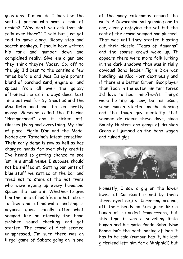questions. I mean do I look like the sort of person who owns a pair of droids? "Why don't you ask that old fella over there?" I said but just got told to move along. Bloody stop and search monkeys. I should have written his rank and number down and complained really. Give 'em a gun and they think they're Vader. So, off to the gig. I'd been to the cantina a few times before and Mos Eisley's potent blend of parched sand, engine oil and spices from all over the galaxy affronted me as it always does. Last time out was for Sy Snootles and the Max Rebo band and that got pretty messy. Someone called the Ithorian "Hammerhead" and it kicked off. Glasses flying and everything. My kind of place. Figrin D'an and the Modal Nodes are Tatooine's latest sensation. Their early demo is raw as hell as has changed hands for over sixty credits I've heard so getting chance to see 'em in a small venue I suppose should not be sniffed at. Getting our pints of blue stuff we settled at the bar and tried not to stare at the hot twins who were eyeing up every humanoid spacer that came in. Whether to give him the time of his life in a hot tub or to fleece him of his wallet and ship is anyone's guess. Finally, after what seemed like an eternity the band finished sound checking and got started. The crowd at first seemed unimpressed. I'm sure there was an illegal game of Sabacc going on in one

of the many catacombs around the walls. A Devaronian sat grinning ear to ear, clearly enjoying the set but the rest of the crowd seemed non plussed. That was until they started blasting out their classic "Tears of Aquanna" and the sparse crowd woke up. It appears there were more folk lurking in the dark shadows than was initially obvious! Band leader Figrin D'an was handling his Kloo Horn dextrously and if there is a better Ommni Box player than Tech in the outer rim territories I'd love to hear him/her/it. Things were hotting up now, but as usual, some moron started macho dancing and the tough guy mentality that seemed de rigeur these days, since Bounty Hunters and gangs of drunken Grans all jumped on the band wagon and ruined gigs.



Honestly, I saw a gig on the lower levels of Coruscant ruined by these three eyed eejits. Careering around, off their heads on Lum juice like a bunch of retarded Gamorreans, but this time it was a snivelling little human and his mate Ponda Baba. Now Ponda isn't the best looking of lads it has to be said (rumour has it, his last girlfriend left him for a Whiphid!) but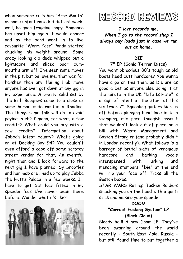when someone calls him "Arse Mouth" as some unfortunate kid did last week, well, he goes fragging loopy. Someone has upset him again it would appear and as the band went in to live favourite "Worm Case" Ponda started chucking his weight around! Some crazy looking old dude whipped out a lightsabre and sliced poor bummouth's arm off! I've seen some moves in the pit, but believe me, that was far harsher than any flailing limb move anyone has ever got down at any gig in my experience. A pretty solid set by the Bith Boogiers came to a close as some human dude wasted a Rhodian. The things some folk will do to avoid paying in eh? I mean, for what, a few credits? What could you buy with a few credits? Information about Jabba's latest bounty? What's going on at Docking Bay 94? You couldn't even afford a cape off some scrotey street vendor for that. An eventful night then and I look forward to the next gig I have planned. Sy Snootles and her mob are lined up to play Jabba the Hutt's Palace in a few weeks. I'll have to get Sat Nav fitted in my speeder 'cos I've never been there before. Wonder what it's like?



## REGORD REVIEWS

*I love records me. When I go to the record shop I always buy loads just in case we run out at home.*

#### **DIE**

#### **7" EP (Sonic Terror Discs)**

You want obnoxious 80's tough as old boots head butt hardcore? You wanna have a go on this then, as Die are as good a bet as anyone else doing it at the minute in the UK. "Life Is Hate" is a sign of intent at the start of this six track 7". Squealing guitars kick us off before plunging head long in to a stomping, mid pace thuggish assault that wouldn't look out of place on a bill with Waste Management and Boston Strangler (and probably didn't in London recently). What follows is a barrage of brutal slabs of venomous hardcore and barking vocals interspersed with lurking and menacing stompers. "Die" at the end will rip your face off. Ticks all the Boston boxes.

STAR WARS Rating: Tusken Raiders smacking you on the head with a garfi stick and nicking your speeder.

#### **DOOM**

#### **"Corrupt Fucking System" LP (Black Cloud)**

Bloody hell! A new Doom LP! They've been swanning around the world recently - South East Asia, Russia but still found time to put together a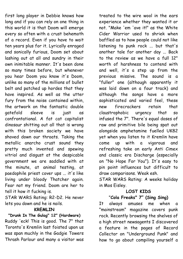first long player in Debbie knows how long and if you can rely on one thing in this world it is that Doom will emerge every so often with a crust behemoth of a record. Even if you have to wait ten years plus for it. Lyrically enraged and sonically furious, Doom set about lashing out at all and sundry in their own inimitable manner. It's been done so many times before, but whenever you hear Doom you know it's Doom, unlike so many of the millions of bullet belt and patched up hordes that they have inspired. As well as the utter fury from the noise contained within, the artwork on the fantastic double gatefold sleeve is just as confrontational. A fat cat capitalist dinosaur shitting out all that is wrong with this broken society we have shoved down our throats. Taking the metallic anarcho crust sound they pretty much invented and spewing vitriol and disgust at the despicable government we are saddled with at the minute, at animal testing, at paedophile priest cover ups ... it's like living under bloody Thatcher again. Fear not my friend. Doom are her to tell it how it fucking is.

STAR WARS Rating: R2-D2. He never lets you down and he is nails.

#### **KREMLIN**

**"Drunk In The Gulag" 12" (Hardware)** Ruddy 'eck! This is good. The 7" that Toronto's Kremlin last foisted upon us was span muchly in the Gadgie Towers Thrash Parlour and many a visitor was

treated to the wire wool in the ears experience whether they wanted it or not. "Make 'em 'ave it!" as the White Cider Warrior used to shriek when baffled as to how people could not like listening to punk rock ... but that's another tale for another day ... Back to the review as we have a full 12" worth of harshness to contend with and well, it's a step up from the previous missive. The sound is a "fuller" one (although apparently it was laid down on a four track) and although the songs have a more sophisticated and varied feel, these new firecrackers retain that claustrophobic urgency that so infused the 7". There's equal doses of raw and primitive bile being spat out alongside amphetamine fuelled UK82 yet when you listen to it Kremlin have come up with a vigorous and refreshing take on early Anti Cimex and classic era Discharge (especially on "No Hope For You"). It's easy to pin point influences but difficult to draw comparisons. Weak esh.

STAR WARS Rating: A weeks holiday in Mos Eisley.

#### **LOST KIDS** "**Cola Freaks" 7" (Sing Sing)**

It always amuses me when a "mainstream" magazine covers punk rock. Recently browsing the shelves of a high street newsagents I discovered a feature in the pages of Record Collector on "Underground Punk" and how to go about compiling yourself a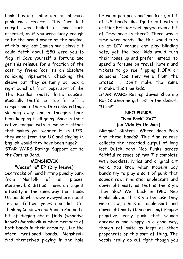bank busting collection of obscure punk rock records. This 'ere lost nugget was hailed as one such essential, as if you were lucky enough to be the proud owner of the original of this long lost Danish punk classic it could fetch about £80 were you to flog it! Save yourself a fortune and get this reissue for a fraction of the cost my friend 'cos it's an absolute rollicking ripsnorter. Checking the sleeve out they certainly do look a right bunch of fruit loops, sort of like The Rezillos snotty little cousins. Musically that's not too far off a comparison either with cranky riffage slashing away and a thuggish back beat keeping it all going. Sang in their native tongue with a melodic attack that makes you wonder if, in 1979, they were from the UK and singing in English would they have been huge? STAR WARS Rating: Support act to the Cantina Band.

### **MENSHEVIK**

#### **"Ceasefire" EP (Dry Heave)**

Six tracks of hard hitting punchy punk from Norfolk of all places! Menshevik's ditties have an urgent intensity in the same way that those UK bands who were everywhere about ten or fifteen years ago did. I'm thinking Capdown and Vanilla Pod and a bit of digging about finds (whaddya know?) Menshevik number members of both bands in their armoury. Like the afore mentioned bands, Menshevik find themselves playing in the hole

between pop punk and hardcore, a bit of US bands like Ignite but with a grittier Brittier feel, maybe even a bit of Imbalance in there? There was a time when bands like this would turn up at DIY venues and play blinding sets, yet the local kids would turn their noses up and prefer instead, to spend a fortune on travel, hotels and tickets to go see flipping NOFX or someone 'cos they were from the States ... Don't make the same mistake this time kids.

STAR WARS Rating: Jawas shooting R2-D2 when he got lost in the desert. "Utini!"

#### **NEO PUNKS "Neo Pack" 2x7" (La Vida Es Un Mus)**

Blimmin' Blipters! Where does Paco find these bands? This fine release collects the recorded output of long lost Dutch band Neo Punks across faithful reissues of two 7"s complete with booklets, lyrics and original art work. You know when modern day bands try to play a sort of punk that sounds raw, nihilistic, unpleasant and downright nasty as that is the style they like? Well back in 1980 Neo Punks played this style because they were raw, nihilistic, unpleasant and downright nasty (I'm guessing). Proper primitive, early punk that sounds obnoxious and sloppy in a good way, though not quite as inept as other proponents of this sort of thing. The vocals really do cut right though you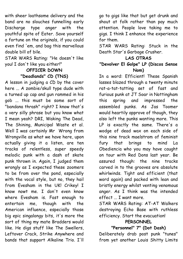with sheer loathsome delivery and the band are no slouches funnelling early Discharge type anger with the youthful spite of Eater. Save yourself a fortune on the originals, if you could even find 'em, and bag this marvellous double bill of bile.

STAR WARS Rating: "He doesn't like you! I don't like you either!"

#### **OFFICER DOWN "Deadlands" CD (TNS)**

A lesson in judging a CD by the cover here ... A zombie/skull type dude with a turned up cap and gun rammed in his gob ... this must be some sort of "bandana thrash" right? I know that's a very silly phrase but you know what I mean yeah? DRI, Waking The Dead, The Shining, Municipal Waste et al. Well I was certainly Mr Wrong from Wrongville as what we have here, upon actually giving it a listen, are ten tracks of relentless, super speedy melodic punk with a dash of skate punk thrown in. Again, I judged them wrongly as I expected these zoomers to be from over the pond, especially with the vocal style, but no, they hail from Evesham in the UK! Crikey! I know nowt me. I don't even know where Evesham is. Fast enough to entertain me, though with the American influence, especially those big epic singalongy bits, it's more the sort of thing my mate Bradders would like. He digs stuff like The Swellers, Leftover Crack, Strike Anywhere and bands that support Alkaline Trio. I'll

go to gigs like that but get drunk and shout at folk rather than pay much attention. People love taking me to gigs. I think I enhance the experience for them.

STAR WARS Rating: Stuck in the Death Star's Garbage Crusher.

#### **LAS OTRAS**

#### **"Devolver El Golpe" LP (Discos Sense Nom)**

In a word: Efficient! These Spanish lasses blazed through a twenty minute rat-a-tat-tatting set of fast and furious punk at JT Soar in Nottingham this spring and impressed the assembled punks. As Jas Toomer would heartily approve of though, they also left the punks wanting more. This LP is exactly the same. There's a wodge of dead wax on each side of this nine track maelstrom of feminist fury that brings to mind La Obediencia who you may have caught on tour with Red Dons last year. Be assured though: the nine tracks carved in to the grooves are absolute whirlwinds. Tight and efficient (that word again) and packed with lean and bristly energy whilst venting venomous anger. As I think was the intended effect ... I want more.

STAR WARS Rating: AT-AT Walkers destroying Echo Base with ruthless efficiency. Start the evacuation!

#### **PERSONNEL**

**"Personnel" 7" (Dot Dash)**

Deliberately drab post punk "tunes" from yet another Louis Shitty Limits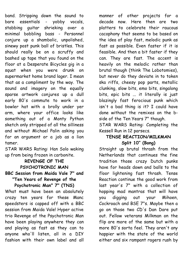band. Stripping down the sound to bare essentials - yobby vocals, stabbing guitar shrieking over a minimal bobbling bass - Personnel conjure up a shambolic, unpolished, sinewy post punk ball of bristles. This should really be on a scruffy and bashed up tape that you found on the floor at a Desperate Bicycles gig in a squat when you were drunk on supermarket home brand lager. I mean that as a compliment by the way. The sound and imagery on the equally sparse artwork conjures up a dull early 80's commute to work in a bowler hat with a brolly under yer arm, where your office looks like something out of a Monty Python sketch only stripped of all the silliness and without Michael Palin asking you for an argument or a job as a lion tamer.

STAR WARS Rating: Han Solo waking up from being frozen in carbonite.

#### **REVENGE OF THE PSYCHOTRONIC MAN**

#### **BBC Session from Maida Vale 7" and "Ten Years of Revenge of the Psychotronic Man" 7" (TNS)**

What must have been an absolutely crazy ten years for these Manc speedsters is capped off with a BBC session from Maida Vale! Hyper active trio Revenge of the Psychotronic Man have been playing anywhere they can and playing as fast as they can to anyone who'll listen, all in a DIY fashion with their own label and all

manner of other projects for a decade now. Here then are two platters to celebrate their raucous cacophony that seems to be based on the idea of play fast, melodic punk as fast as possible. Even faster if it is feasible. And then a bit faster if they can. They are fast. The accent is heavily on the melodic rather than brutal though (think The Lobotomies), but never do they deviate in to token ska riffs, cheesy pop parts, metallic clunking, slow bits, emo bits, singalong bits, epic bits ... it literally is just blazingly fast ferocious punk which isn't a bad thing is it? I could have done without the remixes on the bside of the Ten Years 7" though.

STAR WARS Rating: Completing the Kessell Run in 12 parsecs.

#### **TENSE REACTION/MILKMAN Split 10" (Bong)**

Straight up brutal thrash from the Netherlands that continues the fine tradition those crazy Dutch punks have for heads down and balls to the floor lightening fast thrash. Tense Reaction continue the good work from last year's 7" with a collection of hopping mad mantras that will have you digging out your Mihoen, Cockroach and BSE 7"s. Maybe then a go on those two CD's Dan Dare put out. Fellow veterans Milkman on the flip are more of the same but with a more 80's sorta feel. They aren't any happier with the state of the world either and six rampant ragers rush by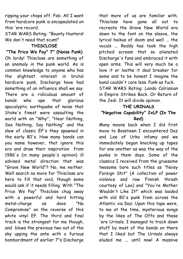ripping your chops off. Fab. All I want from hardcore punk is encapsulated on this 'ere record.

STAR WARS Rating: "Bounty Hunters! We don't need that scum!"

#### **THISCLOSE**

**"The Price We Pay" 7" (Noise Punk)** Oh lordy! Thisclose are something of an anomaly in the punk world. As is common knowledge to anyone who has the slightest interest in brutal hardcore punk, Discharge have had something of an influence shall we say. There are a ridiculous amount of bands who ape that glorious apocalyptic earthquake of noise that Stoke's finest were assaulting the world with on "Why", "Hear Nothing, See Nothing, Say Nothing" and the slew of classic EP's they spawned in the early 80's. How many bands can you name however, that ignore this era and draw their inspiration from 1986's (in many people's opinion) ill advised metal direction that was "Grave New World"? No, me neither. Well search no more for Thisclose are here to fill that void, though some would ask if it needs filling. With "The Price We Pay" Thisclose chug away with a powerful and hard hitting metal-charge as does "No Compromise" on the reverse of this white vinyl EP. The third and final track is the strongest for me though, and blows the previous two out of the sky upping the ante with a furious bombardment of earlier 7"s Discharge

that more of us are familiar with. Thisclose have gone all out to recreate the Grave New World era down to the font on the sleeve, the lyrical haikus of doom and well ... the vocals ... Roddy has took the high pitched scream that so alienated Discharge's fans and embraced it with open arms. This will very much be a love it or loathe it deal breaker for some and to be honest I imagine the band couldn't care less. Punk as fuck. STAR WARS Rating: Lando Calrissian in Empire Strikes Back. Or Return of the Jedi. It will divide opinion.

#### **THE URINALS**

#### **"Negative Capability" 2xLP (In The Red)**

Many moons back when I did first move to Bosstown I encountered Daz and Lee of Urko infamy and we immediately began knocking up tapes for one another as was the way of the punks in them days. Some of the classics I received from the gruesome twosome bore such titles as "Noisy Foreign Shit" (A collection of power violence and raw Finnish thrash courtesy of Lee) and "You're Mother Wouldn't Like It!" which was loaded with old 80's punk from across the Atlantic via Daz. Upon this tape were, to me at the time, mysterious songs by the likes of The Offs and these 'ere Urinals. I managed to track down stuff by most of the bands on there that I liked but The Urinals always eluded me ... until now! A massive